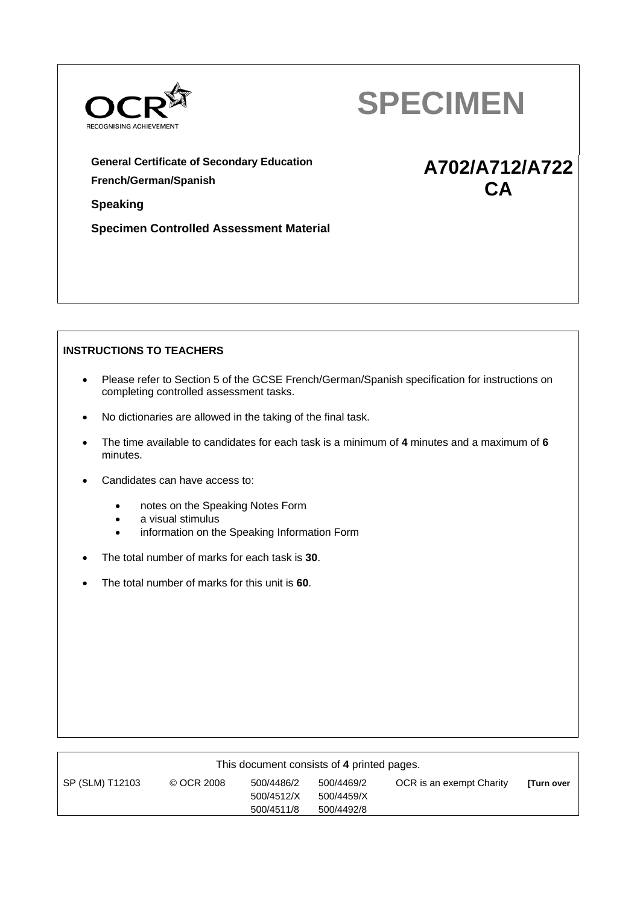



**A702/A712/A722 CA** 

**General Certificate of Secondary Education French/German/Spanish**

**Speaking**

**Specimen Controlled Assessment Material**

# **INSTRUCTIONS TO TEACHERS**

- Please refer to Section 5 of the GCSE French/German/Spanish specification for instructions on completing controlled assessment tasks.
- No dictionaries are allowed in the taking of the final task.
- The time available to candidates for each task is a minimum of **4** minutes and a maximum of **6** minutes.
- Candidates can have access to:
	- notes on the Speaking Notes Form
	- a visual stimulus
	- **•** information on the Speaking Information Form
- The total number of marks for each task is **30**.
- The total number of marks for this unit is **60**.

| This document consists of 4 printed pages. |            |            |            |                          |                  |  |
|--------------------------------------------|------------|------------|------------|--------------------------|------------------|--|
| SP (SLM) T12103                            | © OCR 2008 | 500/4486/2 | 500/4469/2 | OCR is an exempt Charity | <b>Turn over</b> |  |
|                                            |            | 500/4512/X | 500/4459/X |                          |                  |  |
|                                            |            | 500/4511/8 | 500/4492/8 |                          |                  |  |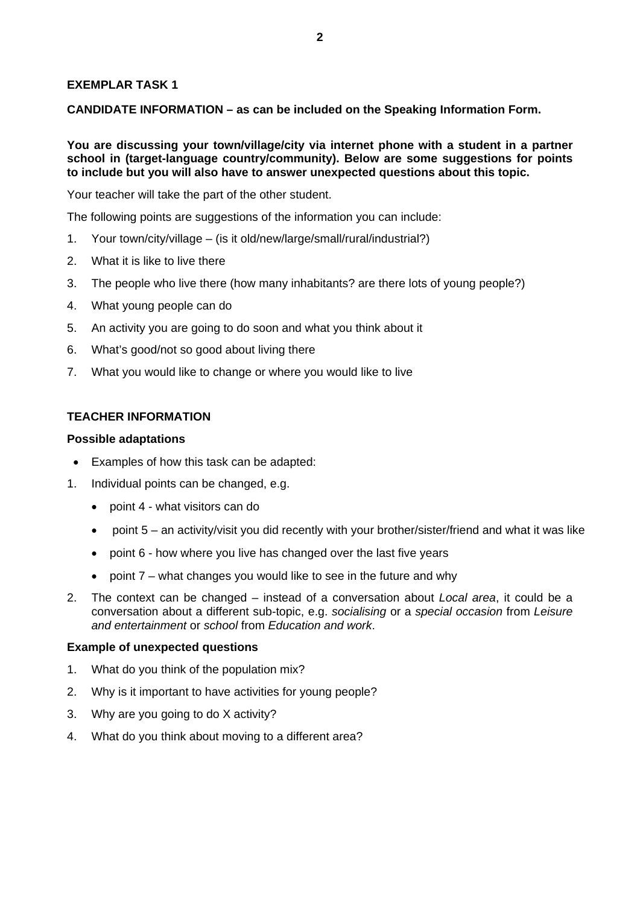## **EXEMPLAR TASK 1**

**CANDIDATE INFORMATION – as can be included on the Speaking Information Form.** 

**You are discussing your town/village/city via internet phone with a student in a partner school in (target-language country/community). Below are some suggestions for points to include but you will also have to answer unexpected questions about this topic.** 

Your teacher will take the part of the other student.

The following points are suggestions of the information you can include:

- 1. Your town/city/village (is it old/new/large/small/rural/industrial?)
- 2. What it is like to live there
- 3. The people who live there (how many inhabitants? are there lots of young people?)
- 4. What young people can do
- 5. An activity you are going to do soon and what you think about it
- 6. What's good/not so good about living there
- 7. What you would like to change or where you would like to live

#### **TEACHER INFORMATION**

#### **Possible adaptations**

- Examples of how this task can be adapted:
- 1. Individual points can be changed, e.g.
	- point 4 what visitors can do
	- point  $5 -$  an activity/visit you did recently with your brother/sister/friend and what it was like
	- point 6 how where you live has changed over the last five years
	- point 7 what changes you would like to see in the future and why
- 2. The context can be changed instead of a conversation about *Local area*, it could be a conversation about a different sub-topic, e.g. *socialising* or a *special occasion* from *Leisure and entertainment* or *school* from *Education and work*.

#### **Example of unexpected questions**

- 1. What do you think of the population mix?
- 2. Why is it important to have activities for young people?
- 3. Why are you going to do X activity?
- 4. What do you think about moving to a different area?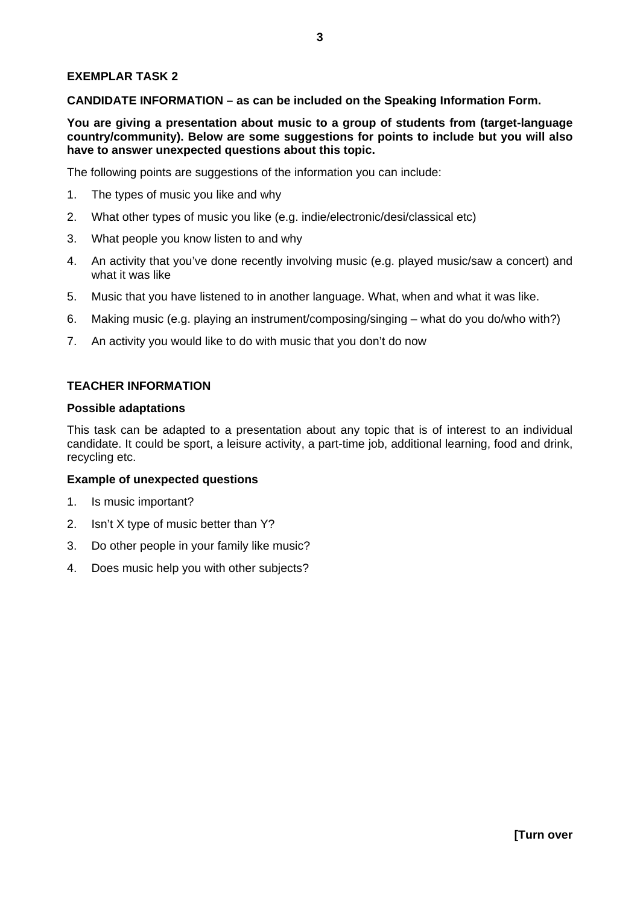## **EXEMPLAR TASK 2**

**CANDIDATE INFORMATION – as can be included on the Speaking Information Form.** 

**You are giving a presentation about music to a group of students from (target-language country/community). Below are some suggestions for points to include but you will also have to answer unexpected questions about this topic.** 

The following points are suggestions of the information you can include:

- 1. The types of music you like and why
- 2. What other types of music you like (e.g. indie/electronic/desi/classical etc)
- 3. What people you know listen to and why
- 4. An activity that you've done recently involving music (e.g. played music/saw a concert) and what it was like
- 5. Music that you have listened to in another language. What, when and what it was like.
- 6. Making music (e.g. playing an instrument/composing/singing what do you do/who with?)
- 7. An activity you would like to do with music that you don't do now

#### **TEACHER INFORMATION**

#### **Possible adaptations**

This task can be adapted to a presentation about any topic that is of interest to an individual candidate. It could be sport, a leisure activity, a part-time job, additional learning, food and drink, recycling etc.

#### **Example of unexpected questions**

- 1. Is music important?
- 2. Isn't X type of music better than Y?
- 3. Do other people in your family like music?
- 4. Does music help you with other subjects?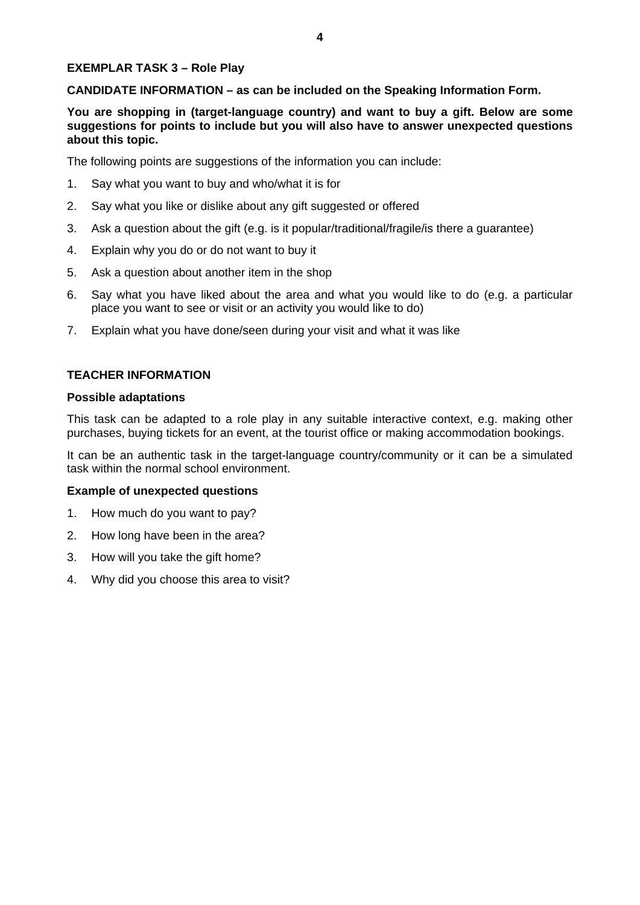# **EXEMPLAR TASK 3 – Role Play**

**CANDIDATE INFORMATION – as can be included on the Speaking Information Form.** 

**You are shopping in (target-language country) and want to buy a gift. Below are some suggestions for points to include but you will also have to answer unexpected questions about this topic.** 

The following points are suggestions of the information you can include:

- 1. Say what you want to buy and who/what it is for
- 2. Say what you like or dislike about any gift suggested or offered
- 3. Ask a question about the gift (e.g. is it popular/traditional/fragile/is there a guarantee)
- 4. Explain why you do or do not want to buy it
- 5. Ask a question about another item in the shop
- 6. Say what you have liked about the area and what you would like to do (e.g. a particular place you want to see or visit or an activity you would like to do)
- 7. Explain what you have done/seen during your visit and what it was like

#### **TEACHER INFORMATION**

#### **Possible adaptations**

This task can be adapted to a role play in any suitable interactive context, e.g. making other purchases, buying tickets for an event, at the tourist office or making accommodation bookings.

It can be an authentic task in the target-language country/community or it can be a simulated task within the normal school environment.

#### **Example of unexpected questions**

- 1. How much do you want to pay?
- 2. How long have been in the area?
- 3. How will you take the gift home?
- 4. Why did you choose this area to visit?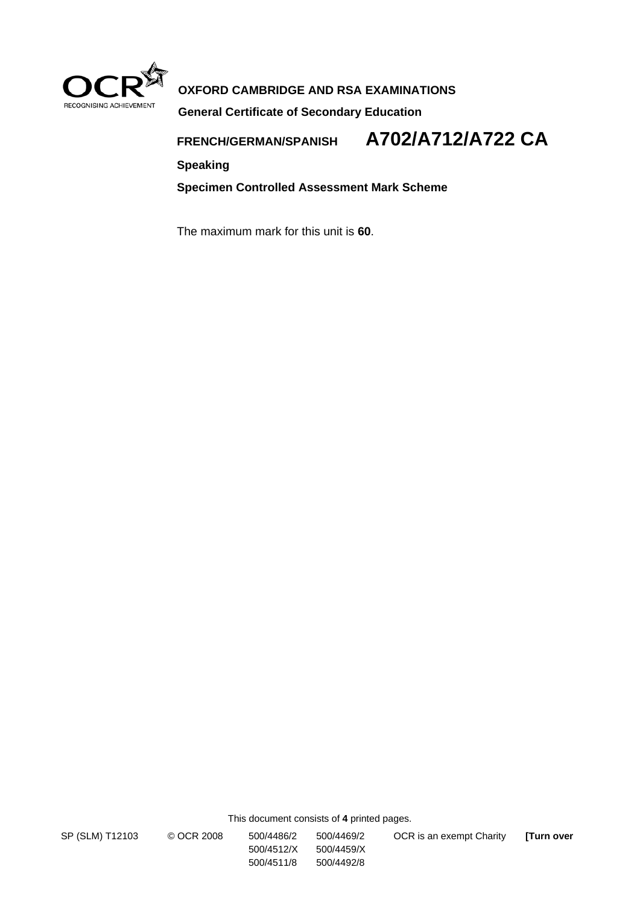

# **OXFORD CAMBRIDGE AND RSA EXAMINATIONS**

**General Certificate of Secondary Education**

**FRENCH/GERMAN/SPANISH A702/A712/A722 CA**

**Speaking** 

**Specimen Controlled Assessment Mark Scheme** 

The maximum mark for this unit is **60**.

This document consists of **4** printed pages.

 500/4512/X 500/4459/X 500/4511/8 500/4492/8

SP (SLM) T12103 © OCR 2008 500/4486/2 500/4469/2 OCR is an exempt Charity **[Turn over**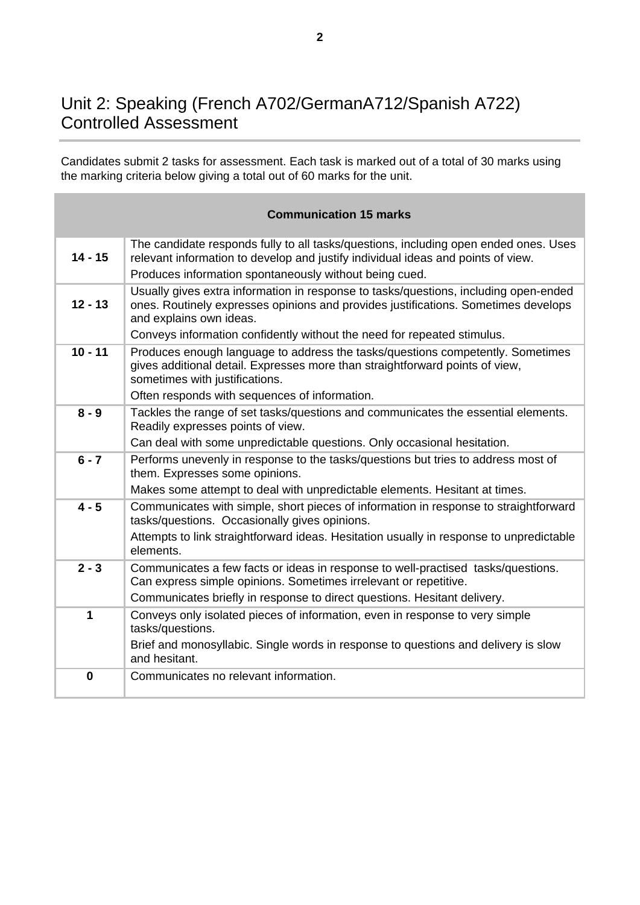# Unit 2: Speaking (French A702/GermanA712/Spanish A722) Controlled Assessment

Candidates submit 2 tasks for assessment. Each task is marked out of a total of 30 marks using the marking criteria below giving a total out of 60 marks for the unit.

|           | <b>Communication 15 marks</b>                                                                                                                                                                                                      |
|-----------|------------------------------------------------------------------------------------------------------------------------------------------------------------------------------------------------------------------------------------|
| $14 - 15$ | The candidate responds fully to all tasks/questions, including open ended ones. Uses<br>relevant information to develop and justify individual ideas and points of view.<br>Produces information spontaneously without being cued. |
| $12 - 13$ | Usually gives extra information in response to tasks/questions, including open-ended<br>ones. Routinely expresses opinions and provides justifications. Sometimes develops<br>and explains own ideas.                              |
|           | Conveys information confidently without the need for repeated stimulus.                                                                                                                                                            |
| $10 - 11$ | Produces enough language to address the tasks/questions competently. Sometimes<br>gives additional detail. Expresses more than straightforward points of view,<br>sometimes with justifications.                                   |
|           | Often responds with sequences of information.                                                                                                                                                                                      |
| $8 - 9$   | Tackles the range of set tasks/questions and communicates the essential elements.<br>Readily expresses points of view.                                                                                                             |
|           | Can deal with some unpredictable questions. Only occasional hesitation.                                                                                                                                                            |
| $6 - 7$   | Performs unevenly in response to the tasks/questions but tries to address most of<br>them. Expresses some opinions.                                                                                                                |
|           | Makes some attempt to deal with unpredictable elements. Hesitant at times.                                                                                                                                                         |
| $4 - 5$   | Communicates with simple, short pieces of information in response to straightforward<br>tasks/questions. Occasionally gives opinions.                                                                                              |
|           | Attempts to link straightforward ideas. Hesitation usually in response to unpredictable<br>elements.                                                                                                                               |
| $2 - 3$   | Communicates a few facts or ideas in response to well-practised tasks/questions.<br>Can express simple opinions. Sometimes irrelevant or repetitive.                                                                               |
|           | Communicates briefly in response to direct questions. Hesitant delivery.                                                                                                                                                           |
| 1         | Conveys only isolated pieces of information, even in response to very simple<br>tasks/questions.                                                                                                                                   |
|           | Brief and monosyllabic. Single words in response to questions and delivery is slow<br>and hesitant.                                                                                                                                |
| $\bf{0}$  | Communicates no relevant information.                                                                                                                                                                                              |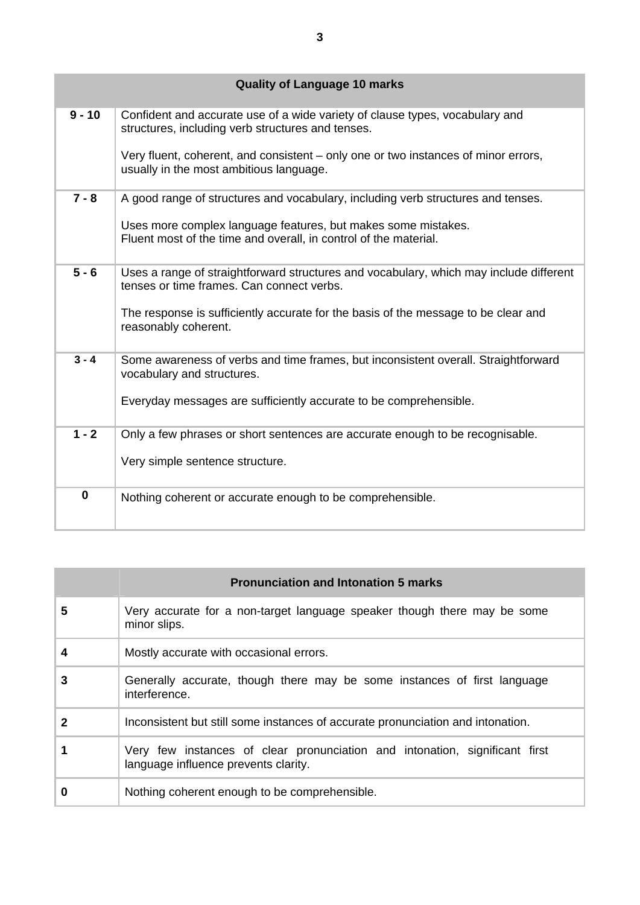|             | <b>Quality of Language 10 marks</b>                                                                                                 |
|-------------|-------------------------------------------------------------------------------------------------------------------------------------|
| $9 - 10$    | Confident and accurate use of a wide variety of clause types, vocabulary and<br>structures, including verb structures and tenses.   |
|             | Very fluent, coherent, and consistent – only one or two instances of minor errors,<br>usually in the most ambitious language.       |
| $7 - 8$     | A good range of structures and vocabulary, including verb structures and tenses.                                                    |
|             | Uses more complex language features, but makes some mistakes.<br>Fluent most of the time and overall, in control of the material.   |
| $5 - 6$     | Uses a range of straightforward structures and vocabulary, which may include different<br>tenses or time frames. Can connect verbs. |
|             | The response is sufficiently accurate for the basis of the message to be clear and<br>reasonably coherent.                          |
| $3 - 4$     | Some awareness of verbs and time frames, but inconsistent overall. Straightforward<br>vocabulary and structures.                    |
|             | Everyday messages are sufficiently accurate to be comprehensible.                                                                   |
| $1 - 2$     | Only a few phrases or short sentences are accurate enough to be recognisable.                                                       |
|             | Very simple sentence structure.                                                                                                     |
| $\mathbf 0$ | Nothing coherent or accurate enough to be comprehensible.                                                                           |

| <b>Pronunciation and Intonation 5 marks</b> |                                                                                                                     |  |  |  |
|---------------------------------------------|---------------------------------------------------------------------------------------------------------------------|--|--|--|
| 5                                           | Very accurate for a non-target language speaker though there may be some<br>minor slips.                            |  |  |  |
| 4                                           | Mostly accurate with occasional errors.                                                                             |  |  |  |
| 3                                           | Generally accurate, though there may be some instances of first language<br>interference.                           |  |  |  |
| 2                                           | Inconsistent but still some instances of accurate pronunciation and intonation.                                     |  |  |  |
|                                             | Very few instances of clear pronunciation and intonation, significant first<br>language influence prevents clarity. |  |  |  |
| 0                                           | Nothing coherent enough to be comprehensible.                                                                       |  |  |  |